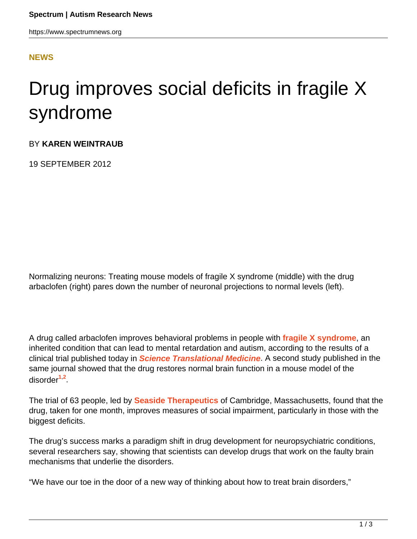#### **[NEWS](HTTPS://WWW.SPECTRUMNEWS.ORG/NEWS/)**

# Drug improves social deficits in fragile X syndrome

#### BY **KAREN WEINTRAUB**

19 SEPTEMBER 2012

Normalizing neurons: Treating mouse models of fragile X syndrome (middle) with the drug arbaclofen (right) pares down the number of neuronal projections to normal levels (left).

A drug called arbaclofen improves behavioral problems in people with **[fragile X syndrome](../../../resources/sfari-wiki/fragile-x)**, an inherited condition that can lead to mental retardation and autism, according to the results of a clinical trial published today in **[Science Translational Medicine](http://stm.sciencemag.org/)**. A second study published in the same journal showed that the drug restores normal brain function in a mouse model of the disorder**<sup>1</sup>**,**<sup>2</sup>** .

The trial of 63 people, led by **[Seaside Therapeutics](http://www.seasidetherapeutics.com/)** of Cambridge, Massachusetts, found that the drug, taken for one month, improves measures of social impairment, particularly in those with the biggest deficits.

The drug's success marks a paradigm shift in drug development for neuropsychiatric conditions, several researchers say, showing that scientists can develop drugs that work on the faulty brain mechanisms that underlie the disorders.

"We have our toe in the door of a new way of thinking about how to treat brain disorders,"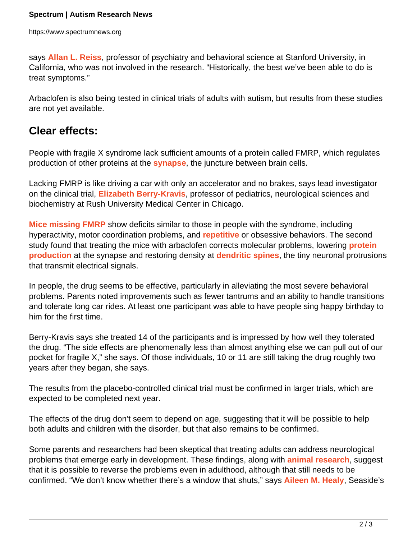says **[Allan L. Reiss](http://med.stanford.edu/profiles/Allan_Reiss/)**, professor of psychiatry and behavioral science at Stanford University, in California, who was not involved in the research. "Historically, the best we've been able to do is treat symptoms."

Arbaclofen is also being tested in clinical trials of adults with autism, but results from these studies are not yet available.

## **Clear effects:**

People with fragile X syndrome lack sufficient amounts of a protein called FMRP, which regulates production of other proteins at the **[synapse](../../../resources/sfari-wiki/synapse)**, the juncture between brain cells.

Lacking FMRP is like driving a car with only an accelerator and no brakes, says lead investigator on the clinical trial, **[Elizabeth Berry-Kravis](http://rush.photobooks.com/directory/profile.asp?dbase=main&setsize=10&last=Berry-Kravis&Submit=Search!&pict_id=0003350)**, professor of pediatrics, neurological sciences and biochemistry at Rush University Medical Center in Chicago.

**[Mice missing FMRP](https://www.spectrumnews.org/conference-news/2009/society-for-neuroscience-2009/fragile-x-mice-marked-by-immature-synapses)** show deficits similar to those in people with the syndrome, including hyperactivity, motor coordination problems, and **[repetitive](../../../resources/sfari-wiki/repetitive-behavior)** or obsessive behaviors. The second study found that treating the mice with arbaclofen corrects molecular problems, lowering **[protein](https://www.spectrumnews.org/in-brief/2012/molecular-mechanisms-protein-synthesis-boosted-in-fragile-x) [production](https://www.spectrumnews.org/in-brief/2012/molecular-mechanisms-protein-synthesis-boosted-in-fragile-x)** at the synapse and restoring density at **[dendritic spines](../../../resources/sfari-wiki/dendritic-spines)**, the tiny neuronal protrusions that transmit electrical signals.

In people, the drug seems to be effective, particularly in alleviating the most severe behavioral problems. Parents noted improvements such as fewer tantrums and an ability to handle transitions and tolerate long car rides. At least one participant was able to have people sing happy birthday to him for the first time.

Berry-Kravis says she treated 14 of the participants and is impressed by how well they tolerated the drug. "The side effects are phenomenally less than almost anything else we can pull out of our pocket for fragile X," she says. Of those individuals, 10 or 11 are still taking the drug roughly two years after they began, she says.

The results from the placebo-controlled clinical trial must be confirmed in larger trials, which are expected to be completed next year.

The effects of the drug don't seem to depend on age, suggesting that it will be possible to help both adults and children with the disorder, but that also remains to be confirmed.

Some parents and researchers had been skeptical that treating adults can address neurological problems that emerge early in development. These findings, along with **[animal research](https://www.spectrumnews.org/news/2012/studies-highlight-promise-of-fragile-x-treatment)**, suggest that it is possible to reverse the problems even in adulthood, although that still needs to be confirmed. "We don't know whether there's a window that shuts," says **[Aileen M. Healy](http://www.seasidetherapeutics.com/executive-team)**, Seaside's